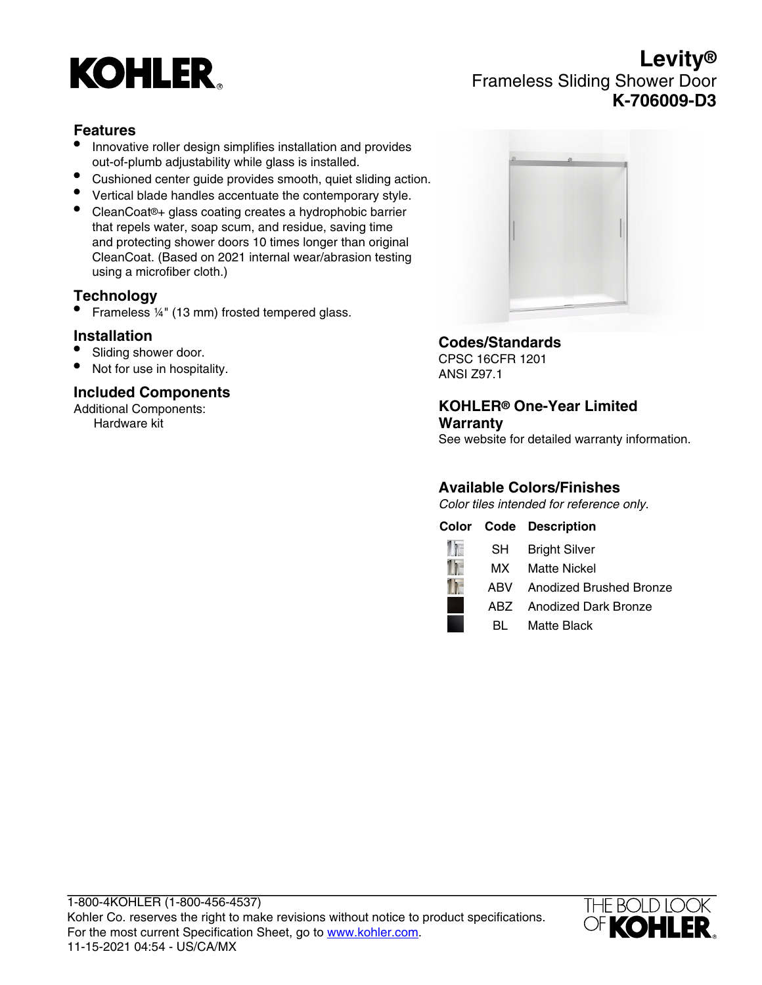

# **Levity®** Frameless Sliding Shower Door **K-706009-D3**

## **Features**

- Innovative roller design simplifies installation and provides out-of-plumb adjustability while glass is installed.
- Cushioned center guide provides smooth, quiet sliding action.
- Vertical blade handles accentuate the contemporary style.
- CleanCoat®+ glass coating creates a hydrophobic barrier that repels water, soap scum, and residue, saving time and protecting shower doors 10 times longer than original CleanCoat. (Based on 2021 internal wear/abrasion testing using a microfiber cloth.)

## **Technology**

• Frameless ¼" (13 mm) frosted tempered glass.

#### **Installation**

- Sliding shower door.
- Not for use in hospitality.

#### **Included Components**

Additional Components: Hardware kit



#### **Codes/Standards**

CPSC 16CFR 1201 ANSI Z97.1

#### **KOHLER® One-Year Limited Warranty**

See website for detailed warranty information.

## **Available Colors/Finishes**

Color tiles intended for reference only.

|  | <b>Color Code Description</b> |
|--|-------------------------------|
|  | <b>SH</b> Bright Silver       |
|  | MX Matte Nickel               |
|  | ABV Anodized Brushed Bronze   |
|  | ABZ Anodized Dark Bronze      |
|  | <b>BL</b> Matte Black         |